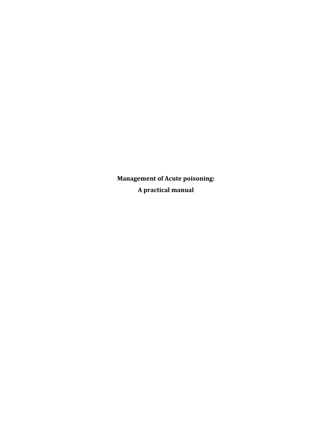**Management of Acute poisoning: A practical manual**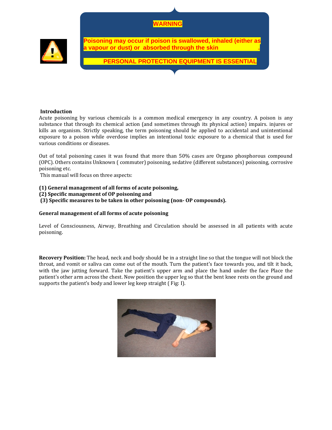



**Poisoning may occur if poison is swallowed, inhaled (either as**  vapour or dust) or absorbed through the skin

 **PERSONAL PROTECTION EQUIPMENT IS ESSENTIAL** 

## **Introduction**

Acute poisoning by various chemicals is a common medical emergency in any country. A poison is any substance that through its chemical action (and sometimes through its physical action) impairs. injures or kills an organism. Strictly speaking, the term poisoning should he applied to accidental and unintentional exposure to a poison while overdose implies an intentional toxic exposure to a chemical that is used for various conditions or diseases.

Out of total poisoning cases it was found that more than 50% cases are Organo phosphorous compound (OPC). Others contains Unknown ( commuter) poisoning, sedative (different substances) poisoning, corrosive poisoning etc.

This manual will focus on three aspects:

- **(1) General management of all forms of acute poisoning,**
- **(2) Specific management of OP poisoning and**

**(3) Specific measures to be taken in other poisoning (non OP compounds).**

## **General management of all forms of acute poisoning**

Level of Consciousness, Airway, Breathing and Circulation should be assessed in all patients with acute poisoning.

**Recovery Position:** The head, neck and body should be in a straight line so that the tongue will not block the throat, and vomit or saliva can come out of the mouth. Turn the patient's face towards you, and tilt it back, with the jaw jutting forward. Take the patient's upper arm and place the hand under the face Place the patient's other arm across the chest. Now position the upper leg so that the bent knee rests on the ground and supports the patient's body and lower leg keep straight ( Fig: I).

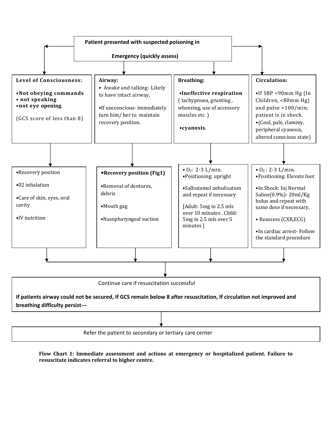

**Flow Chart 1: Immediate assessment and actions at emergency or hospitalized patient. Failure to resuscitate indicates referral to higher centre.**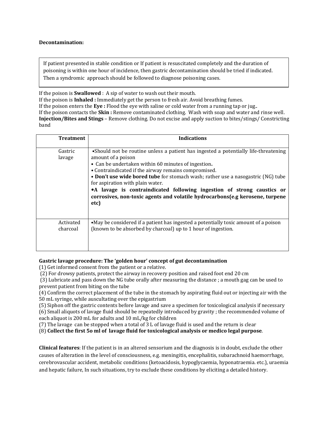## **Decontamination:**

If patient presented in stable condition or If patient is resuscitated completely and the duration of poisoning is within one hour of incidence, then gastric decontamination should be tried if indicated. Then a syndromic approach should be followed to diagnose poisoning cases.

If the poison is **Swallowed** : A sip of water to wash out their mouth.

If the poison is **Inhaled :** Immediately get the person to fresh air. Avoid breathing fumes. If the poison enters the **Eye :** Flood the eye with saline or cold water from a running tap or jug.. If the poison contacts the **Skin :** Remove contaminated clothing. Wash with soap and water and rinse well. **Injection/Bites and Stings** – Remove clothing. Do not excise and apply suction to bites/stings/ Constricting band

| <b>Treatment</b>      | <b>Indications</b>                                                                                                                                                                                                                                                                                                                                                                                                                                                                                                   |
|-----------------------|----------------------------------------------------------------------------------------------------------------------------------------------------------------------------------------------------------------------------------------------------------------------------------------------------------------------------------------------------------------------------------------------------------------------------------------------------------------------------------------------------------------------|
| Gastric<br>lavage     | • Should not be routine unless a patient has ingested a potentially life-threatening<br>amount of a poison<br>• Can be undertaken within 60 minutes of ingestion.<br>• Contraindicated if the airway remains compromised.<br>• Don't use wide bored tube for stomach wash; rather use a nasogastric (NG) tube<br>for aspiration with plain water.<br>• A lavage is contraindicated following ingestion of strong caustics or<br>corrosives, non-toxic agents and volatile hydrocarbons(e.g kerosene, turpene<br>etc) |
| Activated<br>charcoal | • May be considered if a patient has ingested a potentially toxic amount of a poison<br>(known to be absorbed by charcoal) up to 1 hour of ingestion.                                                                                                                                                                                                                                                                                                                                                                |

# **Gastric lavage procedure: The 'golden hour' concept of gut decontamination**

(1) Get informed consent from the patient or a relative.

(2) For drowsy patients, protect the airway in recovery position and raised foot end 20 cm

 (3) Lubricate and pass down the NG tube orally after measuring the distance ; a mouth gag can be used to prevent patient from biting on the tube

(4) Confirm the correct placement of the tube in the stomach by aspirating fluid out or injecting air with the 50 mL syringe, while auscultating over the epigastrium

(5) Siphon off the gastric contents before lavage and save a specimen for toxicological analysis if necessary

(6) Small aliquots of lavage fluid should be repeatedly introduced by gravity ; the recommended volume of each aliquot is 200 mL for adults and 10 mL/kg for children

(7) The lavage can be stopped when a total of 3 L of lavage fluid is used and the return is clear

(8) **Collect the first 5o ml of lavage fluid for toxicological analysis or medico legal purpose**.

**Clinical features**: If the patient is in an altered sensorium and the diagnosis is in doubt, exclude the other causes of alteration in the level of consciousness, e.g. meningitis, encephalitis, subarachnoid haemorrhage, cerebrovascular accident, metabolic conditions (ketoacidosis, hypoglycaemia, hyponatraemia. etc.), uraemia and hepatic failure, In such situations, try to exclude these conditions by eliciting a detailed history.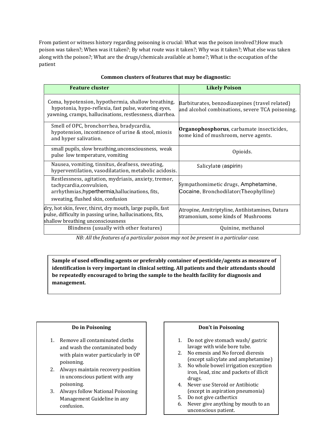From patient or witness history regarding poisoning is crucial: What was the poison involved?;How much poison was taken?; When was it taken?; By what route was it taken?; Why was it taken?; What else was taken along with the poison?; What are the drugs/chemicals available at home?; What is the occupation of the patient

| <b>Feature cluster</b>                                                                                                                                                    | <b>Likely Poison</b>                                                                              |
|---------------------------------------------------------------------------------------------------------------------------------------------------------------------------|---------------------------------------------------------------------------------------------------|
| Coma, hypotension, hypothermia, shallow breathing,<br>hypotonia, hypo-reflexia, fast pulse, watering eyes,<br>yawning, cramps, hallucinations, restlessness, diarrhea.    | Barbiturates, benzodiazepines (travel related)<br>and alcohol combinations, severe TCA poisoning. |
| Smell of OPC, bronchorrhea, bradycardia,<br>hypotension, incontinence of urine & stool, miosis<br>and hyper salivation.                                                   | Organophosphorus, carbamate insecticides,<br>some kind of mushroom, nerve agents.                 |
| small pupils, slow breathing, unconsciousness, weak<br>pulse low temperature, vomiting                                                                                    | Opioids.                                                                                          |
| Nausea, vomiting, tinnitus, deafness, sweating,<br>hyperventilation, vasodilatation, metabolic acidosis.                                                                  | Salicylate (aspirin)                                                                              |
| Restlessness, agitation, mydriasis, anxiety, tremor,<br>tachycardia, convulsion,<br>arrhythmias, hyperthermia, hallucinations, fits,<br>sweating, flushed skin, confusion | Sympathomimetic drugs, Amphetamine,<br>Cocaine, Bronchodilator (Theophylline)                     |
| dry, hot skin, fever, thirst, dry mouth, large pupils, fast<br>pulse, difficulty in passing urine, hallucinations, fits,<br>shallow breathing unconsciousness             | Atropine, Amitriptyline, Antihistamines, Datura<br>stramonium, some kinds of Mushrooms            |
| Blindness (usually with other features)                                                                                                                                   | Quinine, methanol                                                                                 |

# **Common clusters of features that may be diagnostic:**

NB: All the features of a particular poison may not be present in a particular case.

**Sample of used offending agents or preferably container of pesticide/agents as measure of identification is very important in clinical setting. All patients and their attendants should be repeatedly encouraged to bring the sample to the health facility for diagnosis and management.**

# **Do in Poisoning**

- 1. Remove all contaminated cloths and wash the contaminated body with plain water particularly in OP poisoning.
- 2. Always maintain recovery position in unconscious patient with any poisoning.
- 3. Always follow National Poisoning Management Guideline in any confusion.

### **Don't in Poisoning**

- 1. Do not give stomach wash/ gastric lavage with wide bore tube.
- 2. No emesis and No forced dieresis (except salicylate and amphetamine)
- 3. No whole bowel irrigation exception iron, lead, zinc and packets of illicit drugs.
- 4. Never use Steroid or Antibiotic (except in aspiration pneumonia)
- 5. Do not give cathertics
- 6. Never give anything by mouth to an unconscious patient.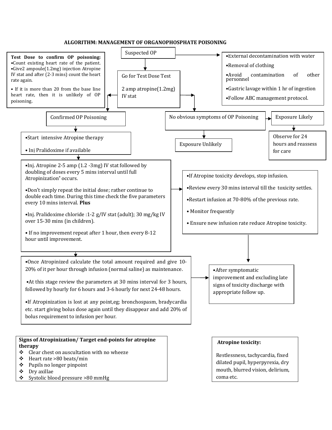## **ALGORITHM: MANAGEMENT OF ORGANOPHOSPHATE POISONING**